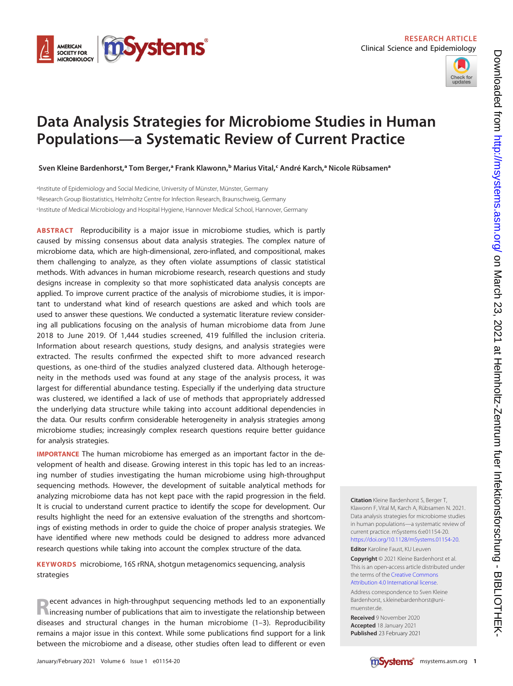



# Data Analysis Strategies for Microbiome Studies in Human Populations—a Systematic Review of Current Practice

Sven Kleine Bardenhorst,ª Tom Berger,ª Frank Klawonn,b Marius Vital,< André Karch,ª Nicole Rübsamenª

aInstitute of Epidemiology and Social Medicine, University of Münster, Münster, Germany bResearch Group Biostatistics, Helmholtz Centre for Infection Research, Braunschweig, Germany cInstitute of Medical Microbiology and Hospital Hygiene, Hannover Medical School, Hannover, Germany

ABSTRACT Reproducibility is a major issue in microbiome studies, which is partly caused by missing consensus about data analysis strategies. The complex nature of microbiome data, which are high-dimensional, zero-inflated, and compositional, makes them challenging to analyze, as they often violate assumptions of classic statistical methods. With advances in human microbiome research, research questions and study designs increase in complexity so that more sophisticated data analysis concepts are applied. To improve current practice of the analysis of microbiome studies, it is important to understand what kind of research questions are asked and which tools are used to answer these questions. We conducted a systematic literature review considering all publications focusing on the analysis of human microbiome data from June 2018 to June 2019. Of 1,444 studies screened, 419 fulfilled the inclusion criteria. Information about research questions, study designs, and analysis strategies were extracted. The results confirmed the expected shift to more advanced research questions, as one-third of the studies analyzed clustered data. Although heterogeneity in the methods used was found at any stage of the analysis process, it was largest for differential abundance testing. Especially if the underlying data structure was clustered, we identified a lack of use of methods that appropriately addressed the underlying data structure while taking into account additional dependencies in the data. Our results confirm considerable heterogeneity in analysis strategies among microbiome studies; increasingly complex research questions require better guidance for analysis strategies.

IMPORTANCE The human microbiome has emerged as an important factor in the development of health and disease. Growing interest in this topic has led to an increasing number of studies investigating the human microbiome using high-throughput sequencing methods. However, the development of suitable analytical methods for analyzing microbiome data has not kept pace with the rapid progression in the field. It is crucial to understand current practice to identify the scope for development. Our results highlight the need for an extensive evaluation of the strengths and shortcomings of existing methods in order to guide the choice of proper analysis strategies. We have identified where new methods could be designed to address more advanced research questions while taking into account the complex structure of the data.

KEYWORDS microbiome, 16S rRNA, shotgun metagenomics sequencing, analysis strategies

**Recent advances in high-throughput sequencing methods led to an exponentially**<br>**Nincreasing number of publications that aim to investigate the relationship between** diseases and structural changes in the human microbiome [\(1](#page-14-0)[–](#page-14-1)[3](#page-14-2)). Reproducibility remains a major issue in this context. While some publications find support for a link between the microbiome and a disease, other studies often lead to different or even Citation Kleine Bardenhorst S, Berger T, Klawonn F, Vital M, Karch A, Rübsamen N. 2021. Data analysis strategies for microbiome studies in human populations—a systematic review of current practice. mSystems 6:e01154-20. [https://doi.org/10.1128/mSystems.01154-20.](https://doi.org/10.1128/mSystems.01154-20) Editor Karoline Faust, KU Leuven

Copyright © 2021 Kleine Bardenhorst et al. This is an open-access article distributed under the terms of the [Creative Commons](https://creativecommons.org/licenses/by/4.0/) [Attribution 4.0 International license](https://creativecommons.org/licenses/by/4.0/).

Address correspondence to Sven Kleine Bardenhorst, s.kleinebardenhorst@unimuenster.de.

Received 9 November 2020 Accepted 18 January 2021 Published 23 February 2021

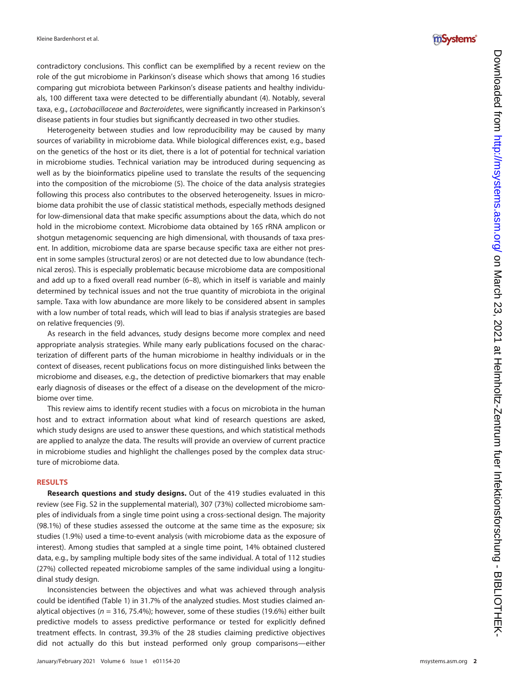contradictory conclusions. This conflict can be exemplified by a recent review on the role of the gut microbiome in Parkinson 's disease which shows that among 16 studies comparing gut microbiota between Parkinson 's disease patients and healthy individuals, 100 different taxa were detected to be differentially abundant ([4](#page-14-3)). Notably, several taxa, e.g., *Lactobacillaceae* and *Bacteroidetes*, were significantly increased in Parkinson's disease patients in four studies but signi ficantly decreased in two other studies.

Heterogeneity between studies and low reproducibility may be caused by many sources of variability in microbiome data. While biological differences exist, e.g., based on the genetics of the host or its diet, there is a lot of potential for technical variation in microbiome studies. Technical variation may be introduced during sequencing as well as by the bioinformatics pipeline used to translate the results of the sequencing into the composition of the microbiome ([5](#page-14-4)). The choice of the data analysis strategies following this process also contributes to the observed heterogeneity. Issues in microbiome data prohibit the use of classic statistical methods, especially methods designed for low-dimensional data that make speci fic assumptions about the data, which do not hold in the microbiome context. Microbiome data obtained by 16S rRNA amplicon or shotgun metagenomic sequencing are high dimensional, with thousands of taxa present. In addition, microbiome data are sparse because specific taxa are either not present in some samples (structural zeros) or are not detected due to low abundance (technical zeros). This is especially problematic because microbiome data are compositional and add up to a fixed overall read number ([6](#page-14-5) [–](#page-14-6)[8\)](#page-14-7), which in itself is variable and mainly determined by technical issues and not the true quantity of microbiota in the original sample. Taxa with low abundance are more likely to be considered absent in samples with a low number of total reads, which will lead to bias if analysis strategies are based on relative frequencies ([9\)](#page-14-8).

As research in the field advances, study designs become more complex and need appropriate analysis strategies. While many early publications focused on the characterization of different parts of the human microbiome in healthy individuals or in the context of diseases, recent publications focus on more distinguished links between the microbiome and diseases, e.g., the detection of predictive biomarkers that may enable early diagnosis of diseases or the effect of a disease on the development of the microbiome over time.

This review aims to identify recent studies with a focus on microbiota in the human host and to extract information about what kind of research questions are asked, which study designs are used to answer these questions, and which statistical methods are applied to analyze the data. The results will provide an overview of current practice in microbiome studies and highlight the challenges posed by the complex data structure of microbiome data.

#### RESULTS

Research questions and study designs. Out of the 419 studies evaluated in this review (see Fig. S2 in the supplemental material), 307 (73%) collected microbiome samples of individuals from a single time point using a cross-sectional design. The majority (98.1%) of these studies assessed the outcome at the same time as the exposure; six studies (1.9%) used a time-to-event analysis (with microbiome data as the exposure of interest). Among studies that sampled at a single time point, 14% obtained clustered data, e.g., by sampling multiple body sites of the same individual. A total of 112 studies (27%) collected repeated microbiome samples of the same individual using a longitudinal study design.

Inconsistencies between the objectives and what was achieved through analysis could be identi fied [\(Table 1\)](#page-2-0) in 31.7% of the analyzed studies. Most studies claimed analytical objectives ( $n = 316, 75.4\%$ ); however, some of these studies (19.6%) either built predictive models to assess predictive performance or tested for explicitly de fined treatment effects. In contrast, 39.3% of the 28 studies claiming predictive objectives did not actually do this but instead performed only group comparisons —either

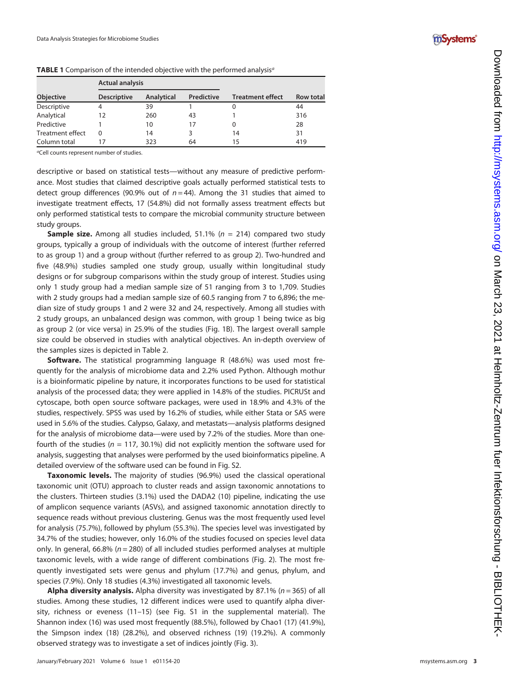

|                         | <b>Actual analysis</b> |            |            |                         |                  |
|-------------------------|------------------------|------------|------------|-------------------------|------------------|
| Objective               | <b>Descriptive</b>     | Analytical | Predictive | <b>Treatment effect</b> | <b>Row total</b> |
| Descriptive             | 4                      | 39         |            |                         | 44               |
| Analytical              | 12                     | 260        | 43         |                         | 316              |
| Predictive              |                        | 10         | 17         |                         | 28               |
| <b>Treatment effect</b> | 0                      | 14         |            | 14                      | 31               |
| Column total            |                        | 323        | 64         | 15                      | 419              |

<span id="page-2-0"></span>TABLE 1 Comparison of the intended objective with the performed analysis<sup>a</sup>

<sup>a</sup>Cell counts represent number of studies.

descriptive or based on statistical tests—without any measure of predictive performance. Most studies that claimed descriptive goals actually performed statistical tests to detect group differences (90.9% out of  $n = 44$ ). Among the 31 studies that aimed to investigate treatment effects, 17 (54.8%) did not formally assess treatment effects but only performed statistical tests to compare the microbial community structure between study groups.

Sample size. Among all studies included, 51.1% (n = 214) compared two study groups, typically a group of individuals with the outcome of interest (further referred to as group 1) and a group without (further referred to as group 2). Two-hundred and five (48.9%) studies sampled one study group, usually within longitudinal study designs or for subgroup comparisons within the study group of interest. Studies using only 1 study group had a median sample size of 51 ranging from 3 to 1,709. Studies with 2 study groups had a median sample size of 60.5 ranging from 7 to 6,896; the median size of study groups 1 and 2 were 32 and 24, respectively. Among all studies with 2 study groups, an unbalanced design was common, with group 1 being twice as big as group 2 (or vice versa) in 25.9% of the studies ([Fig. 1B\)](#page-3-0). The largest overall sample size could be observed in studies with analytical objectives. An in-depth overview of the samples sizes is depicted in [Table 2.](#page-3-1)

Software. The statistical programming language R (48.6%) was used most frequently for the analysis of microbiome data and 2.2% used Python. Although mothur is a bioinformatic pipeline by nature, it incorporates functions to be used for statistical analysis of the processed data; they were applied in 14.8% of the studies. PICRUSt and cytoscape, both open source software packages, were used in 18.9% and 4.3% of the studies, respectively. SPSS was used by 16.2% of studies, while either Stata or SAS were used in 5.6% of the studies. Calypso, Galaxy, and metastats —analysis platforms designed for the analysis of microbiome data—were used by 7.2% of the studies. More than onefourth of the studies ( $n = 117$ , 30.1%) did not explicitly mention the software used for analysis, suggesting that analyses were performed by the used bioinformatics pipeline. A detailed overview of the software used can be found in Fig. S2.

Taxonomic levels. The majority of studies (96.9%) used the classical operational taxonomic unit (OTU) approach to cluster reads and assign taxonomic annotations to the clusters. Thirteen studies (3.1%) used the DADA2 [\(10\)](#page-14-9) pipeline, indicating the use of amplicon sequence variants (ASVs), and assigned taxonomic annotation directly to sequence reads without previous clustering. Genus was the most frequently used level for analysis (75.7%), followed by phylum (55.3%). The species level was investigated by 34.7% of the studies; however, only 16.0% of the studies focused on species level data only. In general, 66.8% ( $n = 280$ ) of all included studies performed analyses at multiple taxonomic levels, with a wide range of different combinations ([Fig. 2\)](#page-4-0). The most frequently investigated sets were genus and phylum (17.7%) and genus, phylum, and species (7.9%). Only 18 studies (4.3%) investigated all taxonomic levels.

Alpha diversity analysis. Alpha diversity was investigated by 87.1% (n = 365) of all studies. Among these studies, 12 different indices were used to quantify alpha diversity, richness or eveness ([11](#page-14-10)–[15\)](#page-15-0) (see Fig. S1 in the supplemental material). The Shannon index ([16](#page-15-1)) was used most frequently (88.5%), followed by Chao1 ([17](#page-15-2)) (41.9%), the Simpson index ([18](#page-15-3)) (28.2%), and observed richness [\(19\)](#page-15-4) (19.2%). A commonly observed strategy was to investigate a set of indices jointly [\(Fig. 3\)](#page-4-1).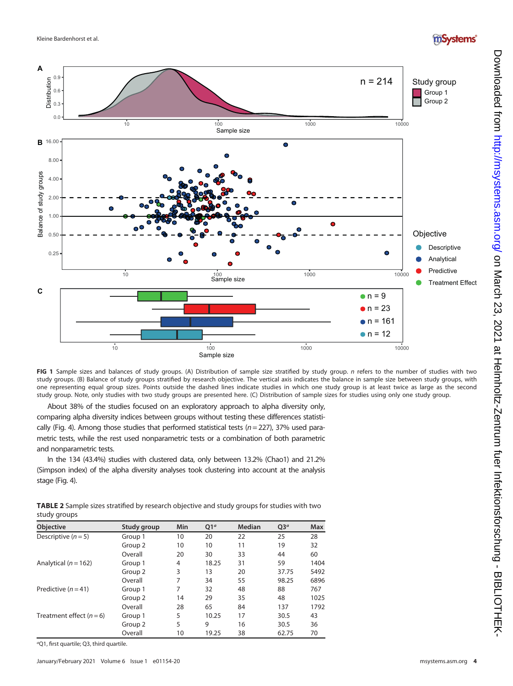## mSystems®



<span id="page-3-0"></span>FIG 1 Sample sizes and balances of study groups. (A) Distribution of sample size stratified by study group. n refers to the number of studies with two study groups. (B) Balance of study groups stratified by research objective. The vertical axis indicates the balance in sample size between study groups, with one representing equal group sizes. Points outside the dashed lines indicate studies in which one study group is at least twice as large as the second study group. Note, only studies with two study groups are presented here. (C) Distribution of sample sizes for studies using only one study group.

About 38% of the studies focused on an exploratory approach to alpha diversity only, comparing alpha diversity indices between groups without testing these differences statisti-

cally ([Fig. 4](#page-5-0)). Among those studies that performed statistical tests ( $n = 227$ ), 37% used parametric tests, while the rest used nonparametric tests or a combination of both parametric and nonparametric tests.

In the 134 (43.4%) studies with clustered data, only between 13.2% (Chao1) and 21.2% (Simpson index) of the alpha diversity analyses took clustering into account at the analysis stage [\(Fig. 4](#page-5-0)).

<span id="page-3-1"></span>TABLE 2 Sample sizes stratified by research objective and study groups for studies with two study groups

| <b>Objective</b>         | Study group        | Min | Q1 <sup>a</sup> | Median | $Q3^a$ | <b>Max</b> |
|--------------------------|--------------------|-----|-----------------|--------|--------|------------|
| Descriptive $(n = 5)$    | Group 1            | 10  | 20              | 22     | 25     | 28         |
|                          | Group 2            | 10  | 10              | 11     | 19     | 32         |
|                          | Overall            | 20  | 30              | 33     | 44     | 60         |
| Analytical ( $n = 162$ ) | Group 1            | 4   | 18.25           | 31     | 59     | 1404       |
|                          | Group 2            | 3   | 13              | 20     | 37.75  | 5492       |
|                          | Overall            | 7   | 34              | 55     | 98.25  | 6896       |
| Predictive $(n=41)$      | Group 1            | 7   | 32              | 48     | 88     | 767        |
|                          | Group <sub>2</sub> | 14  | 29              | 35     | 48     | 1025       |
|                          | Overall            | 28  | 65              | 84     | 137    | 1792       |
| Treatment effect $(n=6)$ | Group 1            | 5   | 10.25           | 17     | 30.5   | 43         |
|                          | Group 2            | 5   | 9               | 16     | 30.5   | 36         |
|                          | Overall            | 10  | 19.25           | 38     | 62.75  | 70         |

<sup>a</sup>Q1, first quartile; Q3, third quartile.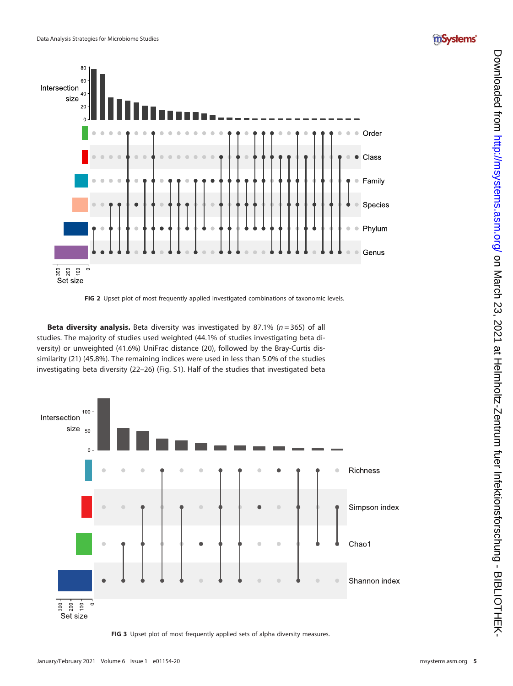



FIG 2 Upset plot of most frequently applied investigated combinations of taxonomic levels.

<span id="page-4-0"></span>Beta diversity analysis. Beta diversity was investigated by 87.1% (n = 365) of all studies. The majority of studies used weighted (44.1% of studies investigating beta diversity) or unweighted (41.6%) UniFrac distance [\(20\)](#page-15-5), followed by the Bray-Curtis dissimilarity ([21](#page-15-6)) (45.8%). The remaining indices were used in less than 5.0% of the studies investigating beta diversity ([22](#page-15-7) –[26\)](#page-15-8) (Fig. S1). Half of the studies that investigated beta



<span id="page-4-1"></span>FIG 3 Upset plot of most frequently applied sets of alpha diversity measures.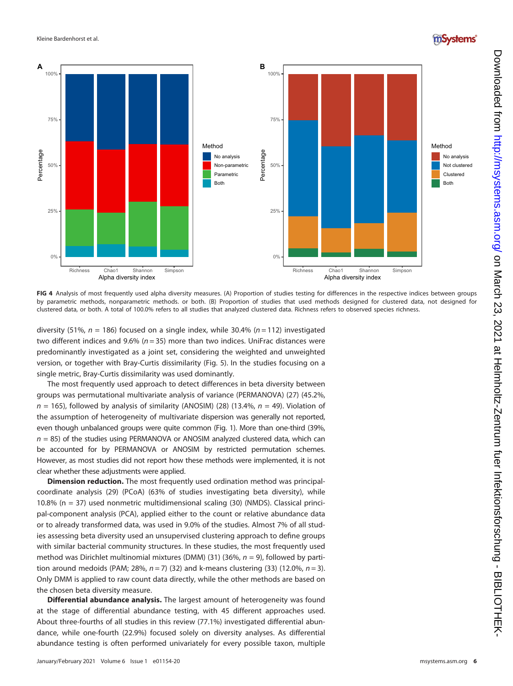### mSystems®



<span id="page-5-0"></span>FIG 4 Analysis of most frequently used alpha diversity measures. (A) Proportion of studies testing for differences in the respective indices between groups by parametric methods, nonparametric methods. or both. (B) Proportion of studies that used methods designed for clustered data, not designed for clustered data, or both. A total of 100.0% refers to all studies that analyzed clustered data. Richness refers to observed species richness.

diversity (51%,  $n = 186$ ) focused on a single index, while 30.4% ( $n = 112$ ) investigated two different indices and 9.6% ( $n = 35$ ) more than two indices. UniFrac distances were predominantly investigated as a joint set, considering the weighted and unweighted version, or together with Bray-Curtis dissimilarity ([Fig. 5\)](#page-6-0). In the studies focusing on a single metric, Bray-Curtis dissimilarity was used dominantly.

The most frequently used approach to detect differences in beta diversity between groups was permutational multivariate analysis of variance (PERMANOVA) [\(27](#page-15-9)) (45.2%,  $n = 165$ ), followed by analysis of similarity (ANOSIM) [\(28\)](#page-15-10) (13.4%,  $n = 49$ ). Violation of the assumption of heterogeneity of multivariate dispersion was generally not reported, even though unbalanced groups were quite common [\(Fig. 1](#page-3-0)). More than one-third (39%,  $n = 85$ ) of the studies using PERMANOVA or ANOSIM analyzed clustered data, which can be accounted for by PERMANOVA or ANOSIM by restricted permutation schemes. However, as most studies did not report how these methods were implemented, it is not clear whether these adjustments were applied.

Dimension reduction. The most frequently used ordination method was principalcoordinate analysis [\(29\)](#page-15-11) (PCoA) (63% of studies investigating beta diversity), while 10.8% (n = 37) used nonmetric multidimensional scaling [\(30\)](#page-15-12) (NMDS). Classical principal-component analysis (PCA), applied either to the count or relative abundance data or to already transformed data, was used in 9.0% of the studies. Almost 7% of all studies assessing beta diversity used an unsupervised clustering approach to define groups with similar bacterial community structures. In these studies, the most frequently used method was Dirichlet multinomial mixtures (DMM) ([31\)](#page-15-13) (36%,  $n = 9$ ), followed by partition around medoids (PAM; 28%,  $n = 7$ ) ([32](#page-15-14)) and k-means clustering [\(33\)](#page-15-15) (12.0%,  $n = 3$ ). Only DMM is applied to raw count data directly, while the other methods are based on the chosen beta diversity measure.

Differential abundance analysis. The largest amount of heterogeneity was found at the stage of differential abundance testing, with 45 different approaches used. About three-fourths of all studies in this review (77.1%) investigated differential abundance, while one-fourth (22.9%) focused solely on diversity analyses. As differential abundance testing is often performed univariately for every possible taxon, multiple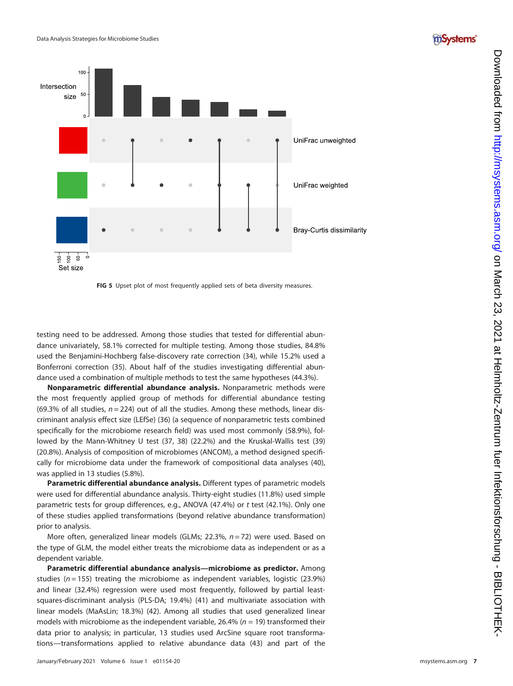



FIG 5 Upset plot of most frequently applied sets of beta diversity measures.

<span id="page-6-0"></span>testing need to be addressed. Among those studies that tested for differential abundance univariately, 58.1% corrected for multiple testing. Among those studies, 84.8% used the Benjamini-Hochberg false-discovery rate correction ([34\)](#page-15-16), while 15.2% used a Bonferroni correction [\(35\)](#page-15-17). About half of the studies investigating differential abundance used a combination of multiple methods to test the same hypotheses (44.3%).

Nonparametric differential abundance analysis. Nonparametric methods were the most frequently applied group of methods for differential abundance testing (69.3% of all studies,  $n = 224$ ) out of all the studies. Among these methods, linear discriminant analysis effect size (LEfSe) ([36\)](#page-15-18) (a sequence of nonparametric tests combined speci fically for the microbiome research field) was used most commonly (58.9%), followed by the Mann-Whitney U test [\(37,](#page-15-19) [38](#page-15-20)) (22.2%) and the Kruskal-Wallis test [\(39](#page-15-21)) (20.8%). Analysis of composition of microbiomes (ANCOM), a method designed specifically for microbiome data under the framework of compositional data analyses [\(40\)](#page-15-22), was applied in 13 studies (5.8%).

Parametric differential abundance analysis. Different types of parametric models were used for differential abundance analysis. Thirty-eight studies (11.8%) used simple parametric tests for group differences, e.g., ANOVA (47.4%) or t test (42.1%). Only one of these studies applied transformations (beyond relative abundance transformation) prior to analysis.

More often, generalized linear models (GLMs; 22.3%, n = 72) were used. Based on the type of GLM, the model either treats the microbiome data as independent or as a dependent variable.

Parametric differential abundance analysis—microbiome as predictor. Among studies ( $n = 155$ ) treating the microbiome as independent variables, logistic (23.9%) and linear (32.4%) regression were used most frequently, followed by partial leastsquares-discriminant analysis (PLS-DA; 19.4%) [\(41\)](#page-15-23) and multivariate association with linear models (MaAsLin; 18.3%) ([42](#page-15-24)). Among all studies that used generalized linear models with microbiome as the independent variable, 26.4% ( $n = 19$ ) transformed their data prior to analysis; in particular, 13 studies used ArcSine square root transformations—transformations applied to relative abundance data ([43\)](#page-15-25) and part of the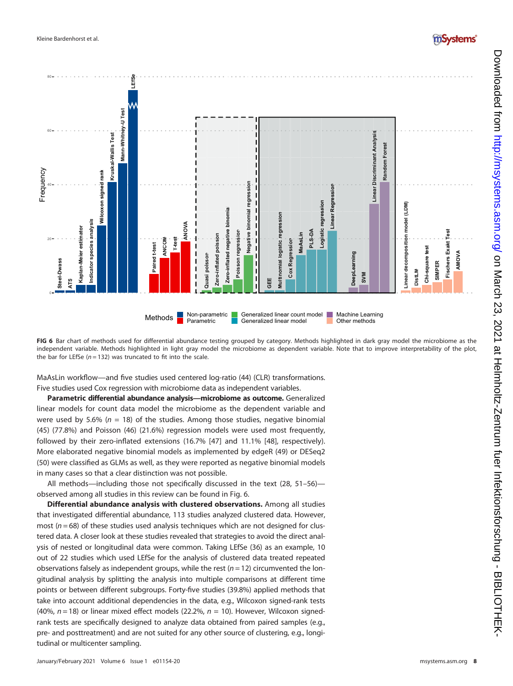

<span id="page-7-0"></span>FIG 6 Bar chart of methods used for differential abundance testing grouped by category. Methods highlighted in dark gray model the microbiome as the independent variable. Methods highlighted in light gray model the microbiome as dependent variable. Note that to improve interpretability of the plot, the bar for LEfSe ( $n = 132$ ) was truncated to fit into the scale.

MaAsLin workflow—and five studies used centered log-ratio [\(44\)](#page-15-26) (CLR) transformations. Five studies used Cox regression with microbiome data as independent variables.

Parametric differential abundance analysis—microbiome as outcome. Generalized linear models for count data model the microbiome as the dependent variable and were used by 5.6% ( $n = 18$ ) of the studies. Among those studies, negative binomial ([45\)](#page-15-27) (77.8%) and Poisson ([46](#page-15-28)) (21.6%) regression models were used most frequently, followed by their zero-inflated extensions (16.7% [[47](#page-15-29)] and 11.1% [\[48](#page-15-30)], respectively). More elaborated negative binomial models as implemented by edgeR ([49\)](#page-15-31) or DESeq2 ([50\)](#page-15-32) were classified as GLMs as well, as they were reported as negative binomial models in many cases so that a clear distinction was not possible.

All methods—including those not specifically discussed in the text ([28](#page-15-10), [51](#page-15-33)–[56](#page-15-34)) observed among all studies in this review can be found in [Fig. 6.](#page-7-0)

Differential abundance analysis with clustered observations. Among all studies that investigated differential abundance, 113 studies analyzed clustered data. However, most ( $n = 68$ ) of these studies used analysis techniques which are not designed for clustered data. A closer look at these studies revealed that strategies to avoid the direct analysis of nested or longitudinal data were common. Taking LEfSe ([36\)](#page-15-18) as an example, 10 out of 22 studies which used LEfSe for the analysis of clustered data treated repeated observations falsely as independent groups, while the rest  $(n = 12)$  circumvented the longitudinal analysis by splitting the analysis into multiple comparisons at different time points or between different subgroups. Forty-five studies (39.8%) applied methods that take into account additional dependencies in the data, e.g., Wilcoxon signed-rank tests (40%,  $n = 18$ ) or linear mixed effect models (22.2%,  $n = 10$ ). However, Wilcoxon signedrank tests are specifically designed to analyze data obtained from paired samples (e.g., pre- and posttreatment) and are not suited for any other source of clustering, e.g., longi-

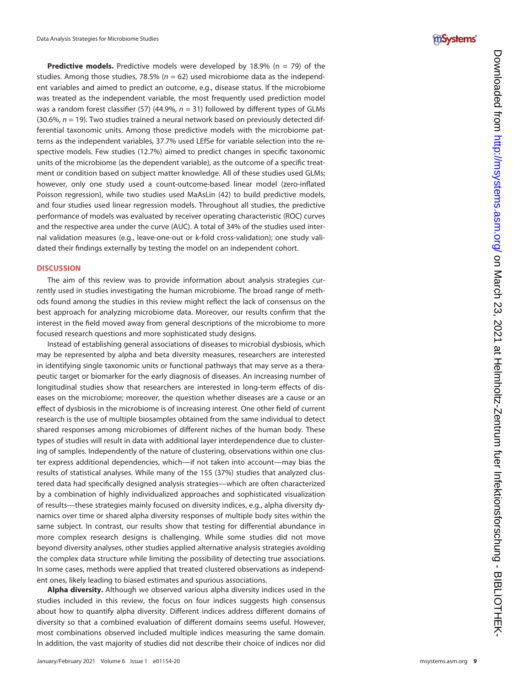

**Predictive models.** Predictive models were developed by 18.9% ( $n = 79$ ) of the studies. Among those studies, 78.5%  $(n = 62)$  used microbiome data as the independent variables and aimed to predict an outcome, e.g., disease status. If the microbiome was treated as the independent variable, the most frequently used prediction model was a random forest classifier ([57](#page-15-35)) (44.9%,  $n = 31$ ) followed by different types of GLMs  $(30.6\%, n = 19)$ . Two studies trained a neural network based on previously detected differential taxonomic units. Among those predictive models with the microbiome patterns as the independent variables, 37.7% used LEfSe for variable selection into the respective models. Few studies (12.7%) aimed to predict changes in specific taxonomic units of the microbiome (as the dependent variable), as the outcome of a speci fic treatment or condition based on subject matter knowledge. All of these studies used GLMs; however, only one study used a count-outcome-based linear model (zero-in flated Poisson regression), while two studies used MaAsLin ([42\)](#page-15-24) to build predictive models, and four studies used linear regression models. Throughout all studies, the predictive performance of models was evaluated by receiver operating characteristic (ROC) curves and the respective area under the curve (AUC). A total of 34% of the studies used internal validation measures (e.g., leave-one-out or k-fold cross-validation); one study validated their findings externally by testing the model on an independent cohort.

### **DISCUSSION**

The aim of this review was to provide information about analysis strategies currently used in studies investigating the human microbiome. The broad range of methods found among the studies in this review might reflect the lack of consensus on the best approach for analyzing microbiome data. Moreover, our results con firm that the interest in the field moved away from general descriptions of the microbiome to more focused research questions and more sophisticated study designs.

Instead of establishing general associations of diseases to microbial dysbiosis, which may be represented by alpha and beta diversity measures, researchers are interested in identifying single taxonomic units or functional pathways that may serve as a therapeutic target or biomarker for the early diagnosis of diseases. An increasing number of longitudinal studies show that researchers are interested in long-term effects of diseases on the microbiome; moreover, the question whether diseases are a cause or an effect of dysbiosis in the microbiome is of increasing interest. One other field of current research is the use of multiple biosamples obtained from the same individual to detect shared responses among microbiomes of different niches of the human body. These types of studies will result in data with additional layer interdependence due to clustering of samples. Independently of the nature of clustering, observations within one cluster express additional dependencies, which—if not taken into account—may bias the results of statistical analyses. While many of the 155 (37%) studies that analyzed clustered data had specifically designed analysis strategies—which are often characterized by a combination of highly individualized approaches and sophisticated visualization of results —these strategies mainly focused on diversity indices, e.g., alpha diversity dynamics over time or shared alpha diversity responses of multiple body sites within the same subject. In contrast, our results show that testing for differential abundance in more complex research designs is challenging. While some studies did not move beyond diversity analyses, other studies applied alternative analysis strategies avoiding the complex data structure while limiting the possibility of detecting true associations. In some cases, methods were applied that treated clustered observations as independent ones, likely leading to biased estimates and spurious associations.

Alpha diversity. Although we observed various alpha diversity indices used in the studies included in this review, the focus on four indices suggests high consensus about how to quantify alpha diversity. Different indices address different domains of diversity so that a combined evaluation of different domains seems useful. However, most combinations observed included multiple indices measuring the same domain. In addition, the vast majority of studies did not describe their choice of indices nor did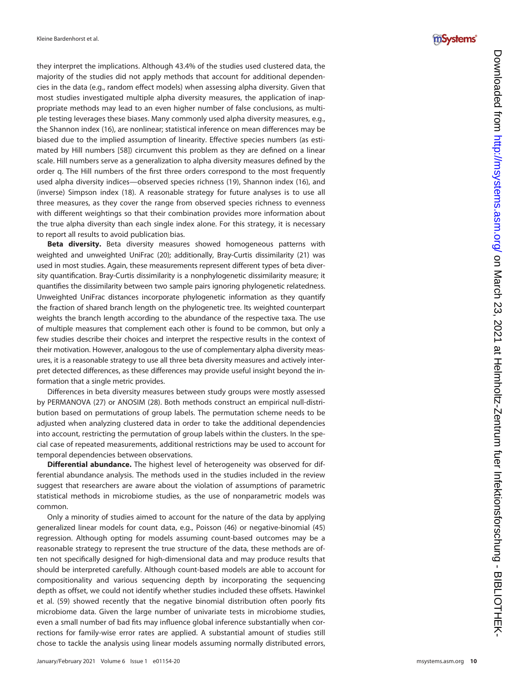they interpret the implications. Although 43.4% of the studies used clustered data, the majority of the studies did not apply methods that account for additional dependencies in the data (e.g., random effect models) when assessing alpha diversity. Given that most studies investigated multiple alpha diversity measures, the application of inappropriate methods may lead to an even higher number of false conclusions, as multiple testing leverages these biases. Many commonly used alpha diversity measures, e.g., the Shannon index [\(16\)](#page-15-1), are nonlinear; statistical inference on mean differences may be biased due to the implied assumption of linearity. Effective species numbers (as estimated by Hill numbers [[58\]](#page-15-36)) circumvent this problem as they are defined on a linear scale. Hill numbers serve as a generalization to alpha diversity measures de fined by the order q. The Hill numbers of the first three orders correspond to the most frequently used alpha diversity indices —observed species richness ([19](#page-15-4)), Shannon index [\(16](#page-15-1)), and (inverse) Simpson index ([18\)](#page-15-3). A reasonable strategy for future analyses is to use all three measures, as they cover the range from observed species richness to evenness with different weightings so that their combination provides more information about the true alpha diversity than each single index alone. For this strategy, it is necessary to report all results to avoid publication bias.

Beta diversity. Beta diversity measures showed homogeneous patterns with weighted and unweighted UniFrac ([20\)](#page-15-5); additionally, Bray-Curtis dissimilarity [\(21](#page-15-6)) was used in most studies. Again, these measurements represent different types of beta diversity quantification. Bray-Curtis dissimilarity is a nonphylogenetic dissimilarity measure; it quanti fies the dissimilarity between two sample pairs ignoring phylogenetic relatedness. Unweighted UniFrac distances incorporate phylogenetic information as they quantify the fraction of shared branch length on the phylogenetic tree. Its weighted counterpart weights the branch length according to the abundance of the respective taxa. The use of multiple measures that complement each other is found to be common, but only a few studies describe their choices and interpret the respective results in the context of their motivation. However, analogous to the use of complementary alpha diversity measures, it is a reasonable strategy to use all three beta diversity measures and actively interpret detected differences, as these differences may provide useful insight beyond the information that a single metric provides.

Differences in beta diversity measures between study groups were mostly assessed by PERMANOVA ([27](#page-15-9)) or ANOSIM [\(28](#page-15-10)). Both methods construct an empirical null-distribution based on permutations of group labels. The permutation scheme needs to be adjusted when analyzing clustered data in order to take the additional dependencies into account, restricting the permutation of group labels within the clusters. In the special case of repeated measurements, additional restrictions may be used to account for temporal dependencies between observations.

Differential abundance. The highest level of heterogeneity was observed for differential abundance analysis. The methods used in the studies included in the review suggest that researchers are aware about the violation of assumptions of parametric statistical methods in microbiome studies, as the use of nonparametric models was common.

Only a minority of studies aimed to account for the nature of the data by applying generalized linear models for count data, e.g., Poisson [\(46\)](#page-15-28) or negative-binomial [\(45](#page-15-27)) regression. Although opting for models assuming count-based outcomes may be a reasonable strategy to represent the true structure of the data, these methods are often not specifically designed for high-dimensional data and may produce results that should be interpreted carefully. Although count-based models are able to account for compositionality and various sequencing depth by incorporating the sequencing depth as offset, we could not identify whether studies included these offsets. Hawinkel et al. ([59](#page-15-37)) showed recently that the negative binomial distribution often poorly fits microbiome data. Given the large number of univariate tests in microbiome studies, even a small number of bad fits may influence global inference substantially when corrections for family-wise error rates are applied. A substantial amount of studies still chose to tackle the analysis using linear models assuming normally distributed errors,

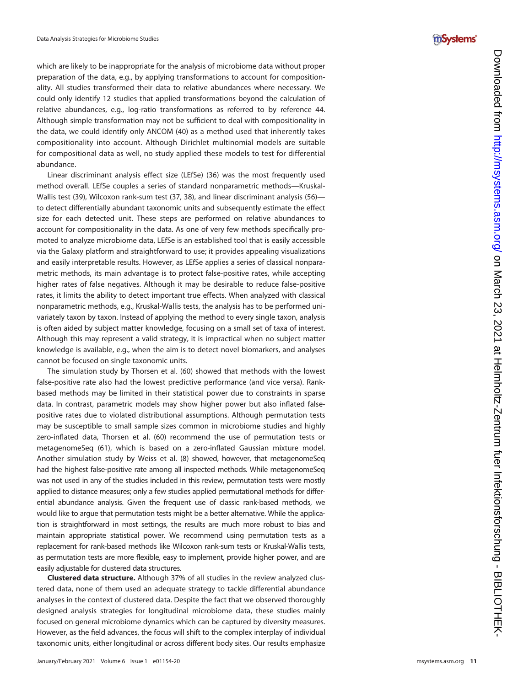### which are likely to be inappropriate for the analysis of microbiome data without proper preparation of the data, e.g., by applying transformations to account for compositionality. All studies transformed their data to relative abundances where necessary. We could only identify 12 studies that applied transformations beyond the calculation of relative abundances, e.g., log-ratio transformations as referred to by reference [44](#page-15-26). Although simple transformation may not be sufficient to deal with compositionality in the data, we could identify only ANCOM ([40](#page-15-22)) as a method used that inherently takes compositionality into account. Although Dirichlet multinomial models are suitable for compositional data as well, no study applied these models to test for differential abundance.

Linear discriminant analysis effect size (LEfSe) [\(36](#page-15-18)) was the most frequently used method overall. LEfSe couples a series of standard nonparametric methods —Kruskal-Wallis test ([39\)](#page-15-21), Wilcoxon rank-sum test [\(37](#page-15-19), [38](#page-15-20)), and linear discriminant analysis [\(56](#page-15-34)) to detect differentially abundant taxonomic units and subsequently estimate the effect size for each detected unit. These steps are performed on relative abundances to account for compositionality in the data. As one of very few methods speci fically promoted to analyze microbiome data, LEfSe is an established tool that is easily accessible via the Galaxy platform and straightforward to use; it provides appealing visualizations and easily interpretable results. However, as LEfSe applies a series of classical nonparametric methods, its main advantage is to protect false-positive rates, while accepting higher rates of false negatives. Although it may be desirable to reduce false-positive rates, it limits the ability to detect important true effects. When analyzed with classical nonparametric methods, e.g., Kruskal-Wallis tests, the analysis has to be performed univariately taxon by taxon. Instead of applying the method to every single taxon, analysis is often aided by subject matter knowledge, focusing on a small set of taxa of interest. Although this may represent a valid strategy, it is impractical when no subject matter knowledge is available, e.g., when the aim is to detect novel biomarkers, and analyses cannot be focused on single taxonomic units.

The simulation study by Thorsen et al. [\(60](#page-15-38)) showed that methods with the lowest false-positive rate also had the lowest predictive performance (and vice versa). Rankbased methods may be limited in their statistical power due to constraints in sparse data. In contrast, parametric models may show higher power but also in flated falsepositive rates due to violated distributional assumptions. Although permutation tests may be susceptible to small sample sizes common in microbiome studies and highly zero-in flated data, Thorsen et al. ([60](#page-15-38)) recommend the use of permutation tests or metagenomeSeq [\(61](#page-15-39)), which is based on a zero-in flated Gaussian mixture model. Another simulation study by Weiss et al. [\(8\)](#page-14-7) showed, however, that metagenomeSeq had the highest false-positive rate among all inspected methods. While metagenomeSeq was not used in any of the studies included in this review, permutation tests were mostly applied to distance measures; only a few studies applied permutational methods for differential abundance analysis. Given the frequent use of classic rank-based methods, we would like to argue that permutation tests might be a better alternative. While the application is straightforward in most settings, the results are much more robust to bias and maintain appropriate statistical power. We recommend using permutation tests as a replacement for rank-based methods like Wilcoxon rank-sum tests or Kruskal-Wallis tests, as permutation tests are more flexible, easy to implement, provide higher power, and are easily adjustable for clustered data structures.

Clustered data structure. Although 37% of all studies in the review analyzed clustered data, none of them used an adequate strategy to tackle differential abundance analyses in the context of clustered data. Despite the fact that we observed thoroughly designed analysis strategies for longitudinal microbiome data, these studies mainly focused on general microbiome dynamics which can be captured by diversity measures. However, as the field advances, the focus will shift to the complex interplay of individual taxonomic units, either longitudinal or across different body sites. Our results emphasize

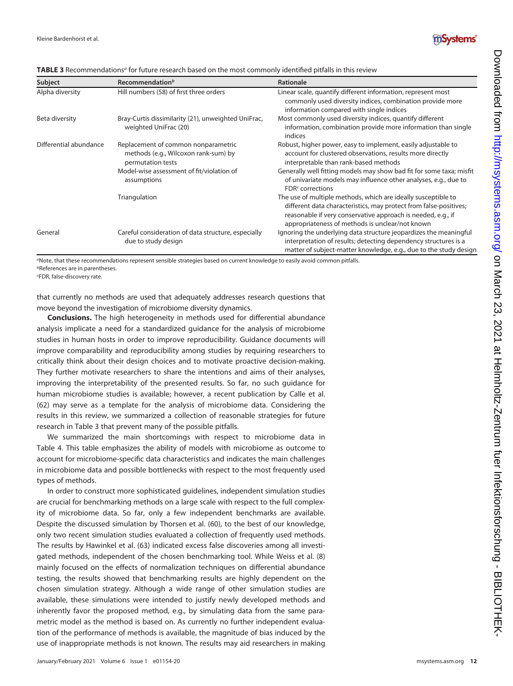

| Subject                | Recommendation <sup>b</sup>                                                                      | <b>Rationale</b>                                                                                                                                                                                                                                      |
|------------------------|--------------------------------------------------------------------------------------------------|-------------------------------------------------------------------------------------------------------------------------------------------------------------------------------------------------------------------------------------------------------|
| Alpha diversity        | Hill numbers (58) of first three orders                                                          | Linear scale, quantify different information, represent most<br>commonly used diversity indices, combination provide more<br>information compared with single indices                                                                                 |
| Beta diversity         | Bray-Curtis dissimilarity (21), unweighted UniFrac,<br>weighted UniFrac (20)                     | Most commonly used diversity indices, quantify different<br>information, combination provide more information than single<br>indices                                                                                                                  |
| Differential abundance | Replacement of common nonparametric<br>methods (e.g., Wilcoxon rank-sum) by<br>permutation tests | Robust, higher power, easy to implement, easily adjustable to<br>account for clustered observations, results more directly<br>interpretable than rank-based methods                                                                                   |
|                        | Model-wise assessment of fit/violation of<br>assumptions                                         | Generally well fitting models may show bad fit for some taxa; misfit<br>of univariate models may influence other analyses, e.g., due to<br>$FDRc$ corrections                                                                                         |
|                        | Triangulation                                                                                    | The use of multiple methods, which are ideally susceptible to<br>different data characteristics, may protect from false-positives;<br>reasonable if very conservative approach is needed, e.g., if<br>appropriateness of methods is unclear/not known |
| General                | Careful consideration of data structure, especially<br>due to study design                       | Ignoring the underlying data structure jeopardizes the meaningful<br>interpretation of results; detecting dependency structures is a<br>matter of subject-matter knowledge, e.g., due to the study design                                             |

<span id="page-11-0"></span>TABLE 3 Recommendations<sup>a</sup> for future research based on the most commonly identified pitfalls in this review

<sup>a</sup>Note, that these recommendations represent sensible strategies based on current knowledge to easily avoid common pitfalls. *bReferences are in parentheses* 

c FDR, false-discovery rate.

that currently no methods are used that adequately addresses research questions that move beyond the investigation of microbiome diversity dynamics.

Conclusions. The high heterogeneity in methods used for differential abundance analysis implicate a need for a standardized guidance for the analysis of microbiome studies in human hosts in order to improve reproducibility. Guidance documents will improve comparability and reproducibility among studies by requiring researchers to critically think about their design choices and to motivate proactive decision-making. They further motivate researchers to share the intentions and aims of their analyses, improving the interpretability of the presented results. So far, no such guidance for human microbiome studies is available; however, a recent publication by Calle et al. ([62\)](#page-16-0) may serve as a template for the analysis of microbiome data. Considering the results in this review, we summarized a collection of reasonable strategies for future research in [Table 3](#page-11-0) that prevent many of the possible pitfalls.

We summarized the main shortcomings with respect to microbiome data in [Table 4](#page-12-0). This table emphasizes the ability of models with microbiome as outcome to account for microbiome-specific data characteristics and indicates the main challenges in microbiome data and possible bottlenecks with respect to the most frequently used types of methods.

In order to construct more sophisticated guidelines, independent simulation studies are crucial for benchmarking methods on a large scale with respect to the full complexity of microbiome data. So far, only a few independent benchmarks are available. Despite the discussed simulation by Thorsen et al. ([60\)](#page-15-38), to the best of our knowledge, only two recent simulation studies evaluated a collection of frequently used methods. The results by Hawinkel et al. [\(63](#page-16-1)) indicated excess false discoveries among all investigated methods, independent of the chosen benchmarking tool. While Weiss et al. ([8](#page-14-7)) mainly focused on the effects of normalization techniques on differential abundance testing, the results showed that benchmarking results are highly dependent on the chosen simulation strategy. Although a wide range of other simulation studies are available, these simulations were intended to justify newly developed methods and inherently favor the proposed method, e.g., by simulating data from the same parametric model as the method is based on. As currently no further independent evaluation of the performance of methods is available, the magnitude of bias induced by the use of inappropriate methods is not known. The results may aid researchers in making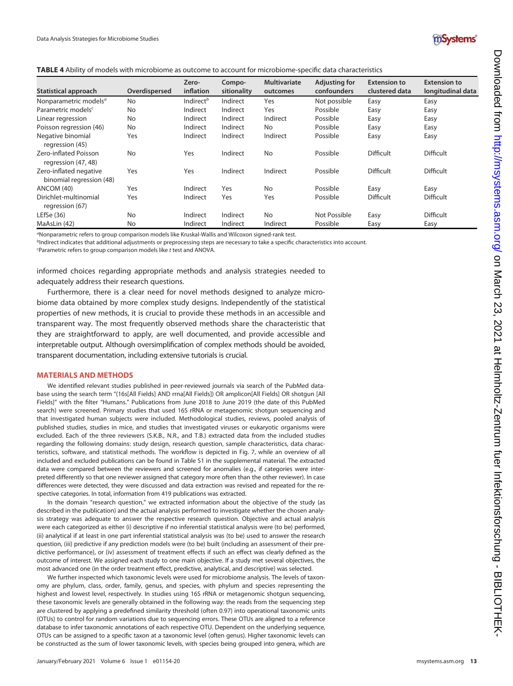

<span id="page-12-0"></span>

| <b>TABLE 4</b> Ability of models with microbiome as outcome to account for microbiome-specific data characteristics |  |  |  |  |  |  |
|---------------------------------------------------------------------------------------------------------------------|--|--|--|--|--|--|
|---------------------------------------------------------------------------------------------------------------------|--|--|--|--|--|--|

| Statistical approach                               | Overdispersed | Zero-<br>inflation    | Compo-<br>sitionality | <b>Multivariate</b><br>outcomes | <b>Adjusting for</b><br>confounders | <b>Extension to</b><br>clustered data | <b>Extension to</b><br>longitudinal data |
|----------------------------------------------------|---------------|-----------------------|-----------------------|---------------------------------|-------------------------------------|---------------------------------------|------------------------------------------|
| Nonparametric models <sup>a</sup>                  | No            | Indirect <sup>b</sup> | Indirect              | Yes                             | Not possible                        | Easy                                  | Easy                                     |
| Parametric models <sup>c</sup>                     | No            | Indirect              | Indirect              | Yes                             | Possible                            | Easy                                  | Easy                                     |
| Linear regression                                  | No            | Indirect              | Indirect              | Indirect                        | Possible                            | Easy                                  | Easy                                     |
| Poisson regression (46)                            | No            | Indirect              | Indirect              | No.                             | Possible                            | Easy                                  | Easy                                     |
| Negative binomial<br>regression (45)               | Yes           | Indirect              | Indirect              | Indirect                        | Possible                            | Easy                                  | Easy                                     |
| Zero-inflated Poisson<br>regression (47, 48)       | No            | Yes                   | Indirect              | No.                             | Possible                            | <b>Difficult</b>                      | <b>Difficult</b>                         |
| Zero-inflated negative<br>binomial regression (48) | Yes           | Yes                   | Indirect              | Indirect                        | Possible                            | Difficult                             | <b>Difficult</b>                         |
| ANCOM (40)                                         | Yes           | Indirect              | Yes                   | No.                             | Possible                            | Easy                                  | Easy                                     |
| Dirichlet-multinomial<br>regression (67)           | Yes           | Indirect              | Yes                   | Yes                             | Possible                            | <b>Difficult</b>                      | <b>Difficult</b>                         |
| LEfSe $(36)$                                       | No            | Indirect              | Indirect              | N <sub>o</sub>                  | Not Possible                        | Easy                                  | <b>Difficult</b>                         |
| MaAsLin (42)                                       | No            | Indirect              | Indirect              | Indirect                        | Possible                            | Easy                                  | Easy                                     |

<sup>a</sup>Nonparametric refers to group comparison models like Kruskal-Wallis and Wilcoxon signed-rank test.

bIndirect indicates that additional adjustments or preprocessing steps are necessary to take a specific characteristics into account.

c Parametric refers to group comparison models like t test and ANOVA.

informed choices regarding appropriate methods and analysis strategies needed to adequately address their research questions.

Furthermore, there is a clear need for novel methods designed to analyze microbiome data obtained by more complex study designs. Independently of the statistical properties of new methods, it is crucial to provide these methods in an accessible and transparent way. The most frequently observed methods share the characteristic that they are straightforward to apply, are well documented, and provide accessible and interpretable output. Although oversimplification of complex methods should be avoided, transparent documentation, including extensive tutorials is crucial.

### MATERIALS AND METHODS

We identified relevant studies published in peer-reviewed journals via search of the PubMed database using the search term "(16s[All Fields] AND rrna[All Fields]) OR amplicon[All Fields] OR shotgun [All Fields]" with the filter "Humans." Publications from June 2018 to June 2019 (the date of this PubMed search) were screened. Primary studies that used 16S rRNA or metagenomic shotgun sequencing and that investigated human subjects were included. Methodological studies, reviews, pooled analysis of published studies, studies in mice, and studies that investigated viruses or eukaryotic organisms were excluded. Each of the three reviewers (S.K.B., N.R., and T.B.) extracted data from the included studies regarding the following domains: study design, research question, sample characteristics, data characteristics, software, and statistical methods. The workflow is depicted in [Fig. 7](#page-13-0), while an overview of all included and excluded publications can be found in Table S1 in the supplemental material. The extracted data were compared between the reviewers and screened for anomalies (e.g., if categories were interpreted differently so that one reviewer assigned that category more often than the other reviewer). In case differences were detected, they were discussed and data extraction was revised and repeated for the respective categories. In total, information from 419 publications was extracted.

In the domain "research question," we extracted information about the objective of the study (as described in the publication) and the actual analysis performed to investigate whether the chosen analysis strategy was adequate to answer the respective research question. Objective and actual analysis were each categorized as either (i) descriptive if no inferential statistical analysis were (to be) performed, (ii) analytical if at least in one part inferential statistical analysis was (to be) used to answer the research question, (iii) predictive if any prediction models were (to be) built (including an assessment of their predictive performance), or (iv) assessment of treatment effects if such an effect was clearly defined as the outcome of interest. We assigned each study to one main objective. If a study met several objectives, the most advanced one (in the order treatment effect, predictive, analytical, and descriptive) was selected.

We further inspected which taxonomic levels were used for microbiome analysis. The levels of taxonomy are phylum, class, order, family, genus, and species, with phylum and species representing the highest and lowest level, respectively. In studies using 16S rRNA or metagenomic shotgun sequencing, these taxonomic levels are generally obtained in the following way: the reads from the sequencing step are clustered by applying a predefined similarity threshold (often 0.97) into operational taxonomic units (OTUs) to control for random variations due to sequencing errors. These OTUs are aligned to a reference database to infer taxonomic annotations of each respective OTU. Dependent on the underlying sequence, OTUs can be assigned to a specific taxon at a taxonomic level (often genus). Higher taxonomic levels can be constructed as the sum of lower taxonomic levels, with species being grouped into genera, which are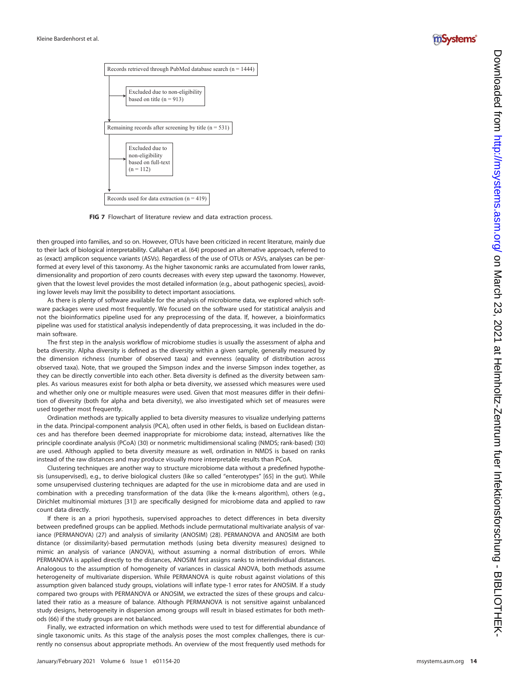



FIG 7 Flowchart of literature review and data extraction process.

<span id="page-13-0"></span>then grouped into families, and so on. However, OTUs have been criticized in recent literature, mainly due to their lack of biological interpretability. Callahan et al. ([64](#page-16-3)) proposed an alternative approach, referred to as (exact) amplicon sequence variants (ASVs). Regardless of the use of OTUs or ASVs, analyses can be performed at every level of this taxonomy. As the higher taxonomic ranks are accumulated from lower ranks, dimensionality and proportion of zero counts decreases with every step upward the taxonomy. However, given that the lowest level provides the most detailed information (e.g., about pathogenic species), avoiding lower levels may limit the possibility to detect important associations.

As there is plenty of software available for the analysis of microbiome data, we explored which software packages were used most frequently. We focused on the software used for statistical analysis and not the bioinformatics pipeline used for any preprocessing of the data. If, however, a bioinformatics pipeline was used for statistical analysis independently of data preprocessing, it was included in the domain software.

The first step in the analysis workflow of microbiome studies is usually the assessment of alpha and beta diversity. Alpha diversity is defined as the diversity within a given sample, generally measured by the dimension richness (number of observed taxa) and evenness (equality of distribution across observed taxa). Note, that we grouped the Simpson index and the inverse Simpson index together, as they can be directly convertible into each other. Beta diversity is de fined as the diversity between samples. As various measures exist for both alpha or beta diversity, we assessed which measures were used and whether only one or multiple measures were used. Given that most measures differ in their de finition of diversity (both for alpha and beta diversity), we also investigated which set of measures were used together most frequently.

Ordination methods are typically applied to beta diversity measures to visualize underlying patterns in the data. Principal-component analysis (PCA), often used in other fields, is based on Euclidean distances and has therefore been deemed inappropriate for microbiome data; instead, alternatives like the principle coordinate analysis (PCoA) [\(30\)](#page-15-12) or nonmetric multidimensional scaling (NMDS; rank-based) [\(30\)](#page-15-12) are used. Although applied to beta diversity measure as well, ordination in NMDS is based on ranks instead of the raw distances and may produce visually more interpretable results than PCoA.

Clustering techniques are another way to structure microbiome data without a prede fined hypothesis (unsupervised), e.g., to derive biological clusters (like so called "enterotypes" [[65](#page-16-4)] in the gut). While some unsupervised clustering techniques are adapted for the use in microbiome data and are used in combination with a preceding transformation of the data (like the k-means algorithm), others (e.g., Dirichlet multinomial mixtures [\[31\]](#page-15-13)) are speci fically designed for microbiome data and applied to raw count data directly.

If there is an a priori hypothesis, supervised approaches to detect differences in beta diversity between prede fined groups can be applied. Methods include permutational multivariate analysis of variance (PERMANOVA) ([27](#page-15-9)) and analysis of similarity (ANOSIM) ([28](#page-15-10)). PERMANOVA and ANOSIM are both distance (or dissimilarity)-based permutation methods (using beta diversity measures) designed to mimic an analysis of variance (ANOVA), without assuming a normal distribution of errors. While PERMANOVA is applied directly to the distances, ANOSIM first assigns ranks to interindividual distances. Analogous to the assumption of homogeneity of variances in classical ANOVA, both methods assume heterogeneity of multivariate dispersion. While PERMANOVA is quite robust against violations of this assumption given balanced study groups, violations will in flate type-1 error rates for ANOSIM. If a study compared two groups with PERMANOVA or ANOSIM, we extracted the sizes of these groups and calculated their ratio as a measure of balance. Although PERMANOVA is not sensitive against unbalanced study designs, heterogeneity in dispersion among groups will result in biased estimates for both methods [\(66](#page-16-5)) if the study groups are not balanced.

Finally, we extracted information on which methods were used to test for differential abundance of single taxonomic units. As this stage of the analysis poses the most complex challenges, there is currently no consensus about appropriate methods. An overview of the most frequently used methods for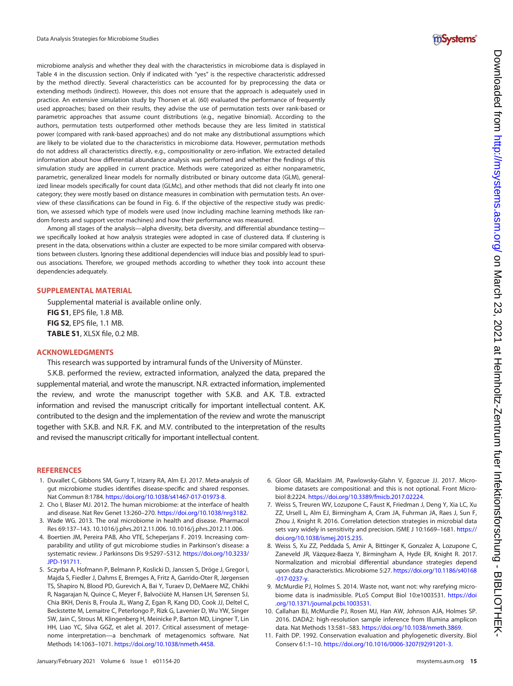microbiome analysis and whether they deal with the characteristics in microbiome data is displayed in [Table 4](#page-12-0) in the discussion section. Only if indicated with "yes" is the respective characteristic addressed by the method directly. Several characteristics can be accounted for by preprocessing the data or extending methods (indirect). However, this does not ensure that the approach is adequately used in practice. An extensive simulation study by Thorsen et al. [\(60\)](#page-15-38) evaluated the performance of frequently used approaches; based on their results, they advise the use of permutation tests over rank-based or parametric approaches that assume count distributions (e.g., negative binomial). According to the authors, permutation tests outperformed other methods because they are less limited in statistical power (compared with rank-based approaches) and do not make any distributional assumptions which are likely to be violated due to the characteristics in microbiome data. However, permutation methods do not address all characteristics directly, e.g., compositionality or zero-inflation. We extracted detailed information about how differential abundance analysis was performed and whether the findings of this simulation study are applied in current practice. Methods were categorized as either nonparametric, parametric, generalized linear models for normally distributed or binary outcome data (GLM), generalized linear models specifically for count data (GLMc), and other methods that did not clearly fit into one category; they were mostly based on distance measures in combination with permutation tests. An overview of these classifications can be found in [Fig. 6.](#page-7-0) If the objective of the respective study was prediction, we assessed which type of models were used (now including machine learning methods like random forests and support vector machines) and how their performance was measured.

Among all stages of the analysis—alpha diversity, beta diversity, and differential abundance testing we specifically looked at how analysis strategies were adopted in case of clustered data. If clustering is present in the data, observations within a cluster are expected to be more similar compared with observations between clusters. Ignoring these additional dependencies will induce bias and possibly lead to spurious associations. Therefore, we grouped methods according to whether they took into account these dependencies adequately.

### SUPPLEMENTAL MATERIAL

Supplemental material is available online only. FIG S1, EPS file, 1.8 MB. FIG S2, EPS file, 1.1 MB. TABLE S1, XLSX file, 0.2 MB.

### ACKNOWLEDGMENTS

This research was supported by intramural funds of the University of Münster.

S.K.B. performed the review, extracted information, analyzed the data, prepared the supplemental material, and wrote the manuscript. N.R. extracted information, implemented the review, and wrote the manuscript together with S.K.B. and A.K. T.B. extracted information and revised the manuscript critically for important intellectual content. A.K. contributed to the design and the implementation of the review and wrote the manuscript together with S.K.B. and N.R. F.K. and M.V. contributed to the interpretation of the results and revised the manuscript critically for important intellectual content.

#### **REFERENCES**

- <span id="page-14-0"></span>1. Duvallet C, Gibbons SM, Gurry T, Irizarry RA, Alm EJ. 2017. Meta-analysis of gut microbiome studies identifies disease-specific and shared responses. Nat Commun 8:1784. <https://doi.org/10.1038/s41467-017-01973-8>.
- <span id="page-14-1"></span>2. Cho I, Blaser MJ. 2012. The human microbiome: at the interface of health and disease. Nat Rev Genet 13:260–270. <https://doi.org/10.1038/nrg3182>.
- <span id="page-14-2"></span>3. Wade WG. 2013. The oral microbiome in health and disease. Pharmacol Res 69:137–143. 10.1016/j.phrs.2012.11.006. 10.1016/j.phrs.2012.11.006.
- <span id="page-14-3"></span>4. Boertien JM, Pereira PAB, Aho VTE, Scheperjans F. 2019. Increasing comparability and utility of gut microbiome studies in Parkinson's disease: a systematic review. J Parkinsons Dis 9:S297–S312. [https://doi.org/10.3233/](https://doi.org/10.3233/JPD-191711) [JPD-191711](https://doi.org/10.3233/JPD-191711).
- <span id="page-14-4"></span>5. Sczyrba A, Hofmann P, Belmann P, Koslicki D, Janssen S, Dröge J, Gregor I, Majda S, Fiedler J, Dahms E, Bremges A, Fritz A, Garrido-Oter R, Jørgensen TS, Shapiro N, Blood PD, Gurevich A, Bai Y, Turaev D, DeMaere MZ, Chikhi R, Nagarajan N, Quince C, Meyer F, Balvociūtė M, Hansen LH, Sørensen SJ, Chia BKH, Denis B, Froula JL, Wang Z, Egan R, Kang DD, Cook JJ, Deltel C, Beckstette M, Lemaitre C, Peterlongo P, Rizk G, Lavenier D, Wu YW, Singer SW, Jain C, Strous M, Klingenberg H, Meinicke P, Barton MD, Lingner T, Lin HH, Liao YC, Silva GGZ, et alet al. 2017. Critical assessment of metagenome interpretation—a benchmark of metagenomics software. Nat Methods 14:1063–1071. <https://doi.org/10.1038/nmeth.4458>.
- <span id="page-14-5"></span>6. Gloor GB, Macklaim JM, Pawlowsky-Glahn V, Egozcue JJ. 2017. Microbiome datasets are compositional: and this is not optional. Front Microbiol 8:2224. <https://doi.org/10.3389/fmicb.2017.02224>.
- <span id="page-14-6"></span>7. Weiss S, Treuren WV, Lozupone C, Faust K, Friedman J, Deng Y, Xia LC, Xu ZZ, Ursell L, Alm EJ, Birmingham A, Cram JA, Fuhrman JA, Raes J, Sun F, Zhou J, Knight R. 2016. Correlation detection strategies in microbial data sets vary widely in sensitivity and precision. ISME J 10:1669-1681. [https://](https://doi.org/10.1038/ismej.2015.235) [doi.org/10.1038/ismej.2015.235.](https://doi.org/10.1038/ismej.2015.235)
- <span id="page-14-7"></span>8. Weiss S, Xu ZZ, Peddada S, Amir A, Bittinger K, Gonzalez A, Lozupone C, Zaneveld JR, Vázquez-Baeza Y, Birmingham A, Hyde ER, Knight R. 2017. Normalization and microbial differential abundance strategies depend upon data characteristics. Microbiome 5:27. [https://doi.org/10.1186/s40168](https://doi.org/10.1186/s40168-017-0237-y) [-017-0237-y.](https://doi.org/10.1186/s40168-017-0237-y)
- <span id="page-14-8"></span>9. McMurdie PJ, Holmes S. 2014. Waste not, want not: why rarefying microbiome data is inadmissible. PLoS Comput Biol 10:e1003531. [https://doi](https://doi.org/10.1371/journal.pcbi.1003531) [.org/10.1371/journal.pcbi.1003531.](https://doi.org/10.1371/journal.pcbi.1003531)
- <span id="page-14-9"></span>10. Callahan BJ, McMurdie PJ, Rosen MJ, Han AW, Johnson AJA, Holmes SP. 2016. DADA2: high-resolution sample inference from Illumina amplicon data. Nat Methods 13:581–583. [https://doi.org/10.1038/nmeth.3869.](https://doi.org/10.1038/nmeth.3869)
- <span id="page-14-10"></span>11. Faith DP. 1992. Conservation evaluation and phylogenetic diversity. Biol Conserv 61:1–10. [https://doi.org/10.1016/0006-3207\(92\)91201-3.](https://doi.org/10.1016/0006-3207(92)91201-3)

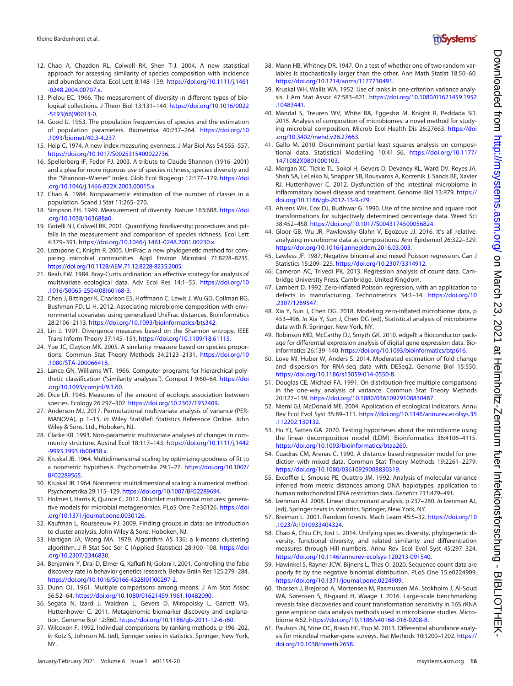

- 12. Chao A, Chazdon RL, Colwell RK, Shen T-J. 2004. A new statistical approach for assessing similarity of species composition with incidence and abundance data. Ecol Lett 8:148-159. [https://doi.org/10.1111/j.1461](https://doi.org/10.1111/j.1461-0248.2004.00707.x) [-0248.2004.00707.x.](https://doi.org/10.1111/j.1461-0248.2004.00707.x)
- 13. Pielou EC. 1966. The measurement of diversity in different types of biological collections. J Theor Biol 13:131-144. [https://doi.org/10.1016/0022](https://doi.org/10.1016/0022-5193(66)90013-0) [-5193\(66\)90013-0](https://doi.org/10.1016/0022-5193(66)90013-0).
- 14. Good IJ. 1953. The population frequencies of species and the estimation of population parameters. Biometrika 40:237–264. [https://doi.org/10](https://doi.org/10.1093/biomet/40.3-4.237) [.1093/biomet/40.3-4.237](https://doi.org/10.1093/biomet/40.3-4.237).
- <span id="page-15-0"></span>15. Heip C. 1974. A new index measuring evenness. J Mar Biol Ass 54:555–557. [https://doi.org/10.1017/S0025315400022736.](https://doi.org/10.1017/S0025315400022736)
- <span id="page-15-1"></span>16. Spellerberg IF, Fedor PJ. 2003. A tribute to Claude Shannon (1916–2001) and a plea for more rigorous use of species richness, species diversity and the "Shannon-Wiener" index. Glob Ecol Biogeogr 12:177-179. [https://doi](https://doi.org/10.1046/j.1466-822X.2003.00015.x) [.org/10.1046/j.1466-822X.2003.00015.x](https://doi.org/10.1046/j.1466-822X.2003.00015.x).
- <span id="page-15-2"></span>17. Chao A. 1984. Nonparametric estimation of the number of classes in a population. Scand J Stat 11:265–270.
- <span id="page-15-3"></span>18. Simpson EH. 1949. Measurement of diversity. Nature 163:688. [https://doi](https://doi.org/10.1038/163688a0) [.org/10.1038/163688a0](https://doi.org/10.1038/163688a0).
- <span id="page-15-4"></span>19. Gotelli NJ, Colwell RK. 2001. Quantifying biodiversity: procedures and pitfalls in the measurement and comparison of species richness. Ecol Lett 4:379–391. <https://doi.org/10.1046/j.1461-0248.2001.00230.x>.
- <span id="page-15-5"></span>20. Lozupone C, Knight R. 2005. UniFrac: a new phylogenetic method for comparing microbial communities. Appl Environ Microbiol 71:8228–8235. [https://doi.org/10.1128/AEM.71.12.8228-8235.2005.](https://doi.org/10.1128/AEM.71.12.8228-8235.2005)
- <span id="page-15-6"></span>21. Beals EW. 1984. Bray-Curtis ordination: an effective strategy for analysis of multivariate ecological data. Adv Ecol Res 14:1–55. [https://doi.org/10](https://doi.org/10.1016/S0065-2504(08)60168-3) [.1016/S0065-2504\(08\)60168-3](https://doi.org/10.1016/S0065-2504(08)60168-3).
- <span id="page-15-7"></span>22. Chen J, Bittinger K, Charlson ES, Hoffmann C, Lewis J, Wu GD, Collman RG, Bushman FD, Li H. 2012. Associating microbiome composition with environmental covariates using generalized UniFrac distances. Bioinformatics 28:2106–2113. [https://doi.org/10.1093/bioinformatics/bts342.](https://doi.org/10.1093/bioinformatics/bts342)
- 23. Lin J. 1991. Divergence measures based on the Shannon entropy. IEEE Trans Inform Theory 37:145–151. <https://doi.org/10.1109/18.61115>.
- 24. Yue JC, Clayton MK. 2005. A similarity measure based on species proportions. Commun Stat Theory Methods 34:2123–2131. [https://doi.org/10](https://doi.org/10.1080/STA-200066418) [.1080/STA-200066418.](https://doi.org/10.1080/STA-200066418)
- 25. Lance GN, Williams WT. 1966. Computer programs for hierarchical polythetic classification ("similarity analyses"). Comput J 9:60-64. [https://doi](https://doi.org/10.1093/comjnl/9.1.60) [.org/10.1093/comjnl/9.1.60](https://doi.org/10.1093/comjnl/9.1.60).
- <span id="page-15-8"></span>26. Dice LR. 1945. Measures of the amount of ecologic association between species. Ecology 26:297–302. <https://doi.org/10.2307/1932409>.
- <span id="page-15-9"></span>27. Anderson MJ. 2017. Permutational multivariate analysis of variance (PER-MANOVA), p 1–15. In Wiley StatsRef: Statistics Reference Online. John Wiley & Sons, Ltd., Hoboken, NJ.
- <span id="page-15-10"></span>28. Clarke KR. 1993. Non-parametric multivariate analyses of changes in community structure. Austral Ecol 18:117–143. [https://doi.org/10.1111/j.1442](https://doi.org/10.1111/j.1442-9993.1993.tb00438.x) [-9993.1993.tb00438.x.](https://doi.org/10.1111/j.1442-9993.1993.tb00438.x)
- <span id="page-15-11"></span>29. Kruskal JB. 1964. Multidimensional scaling by optimizing goodness of fit to a nonmetric hypothesis. Psychometrika 29:1–27. [https://doi.org/10.1007/](https://doi.org/10.1007/BF02289565) [BF02289565](https://doi.org/10.1007/BF02289565).
- <span id="page-15-12"></span>30. Kruskal JB. 1964. Nonmetric multidimensional scaling: a numerical method. Psychometrika 29:115–129. [https://doi.org/10.1007/BF02289694.](https://doi.org/10.1007/BF02289694)
- <span id="page-15-13"></span>31. Holmes I, Harris K, Quince C. 2012. Dirichlet multinomial mixtures: generative models for microbial metagenomics. PLoS One 7:e30126. [https://doi](https://doi.org/10.1371/journal.pone.0030126) [.org/10.1371/journal.pone.0030126.](https://doi.org/10.1371/journal.pone.0030126)
- <span id="page-15-14"></span>32. Kaufman L, Rousseeuw PJ. 2009. Finding groups in data: an introduction to cluster analysis. John Wiley & Sons, Hoboken, NJ.
- <span id="page-15-15"></span>33. Hartigan JA, Wong MA. 1979. Algorithm AS 136: a k-means clustering algorithm. J R Stat Soc Ser C (Applied Statistics) 28:100–108. [https://doi](https://doi.org/10.2307/2346830) [.org/10.2307/2346830](https://doi.org/10.2307/2346830).
- <span id="page-15-16"></span>34. Benjamini Y, Drai D, Elmer G, Kafkafi N, Golani I. 2001. Controlling the false discovery rate in behavior genetics research. Behav Brain Res 125:279–284. [https://doi.org/10.1016/S0166-4328\(01\)00297-2](https://doi.org/10.1016/S0166-4328(01)00297-2).
- <span id="page-15-17"></span>35. Dunn OJ. 1961. Multiple comparisons among means. J Am Stat Assoc 56:52–64. <https://doi.org/10.1080/01621459.1961.10482090>.
- <span id="page-15-18"></span>36. Segata N, Izard J, Waldron L, Gevers D, Miropolsky L, Garrett WS, Huttenhower C. 2011. Metagenomic biomarker discovery and explanation. Genome Biol 12:R60. <https://doi.org/10.1186/gb-2011-12-6-r60>.
- <span id="page-15-19"></span>37. Wilcoxon F. 1992. Individual comparisons by ranking methods, p 196–202. In Kotz S, Johnson NL (ed), Springer series in statistics. Springer, New York, NY.
- <span id="page-15-20"></span>38. Mann HB, Whitney DR. 1947. On a test of whether one of two random variables is stochastically larger than the other. Ann Math Statist 18:50–60. [https://doi.org/10.1214/aoms/1177730491.](https://doi.org/10.1214/aoms/1177730491)
- <span id="page-15-21"></span>39. Kruskal WH, Wallis WA. 1952. Use of ranks in one-criterion variance analysis. J Am Stat Assoc 47:583–621. [https://doi.org/10.1080/01621459.1952](https://doi.org/10.1080/01621459.1952.10483441) [.10483441.](https://doi.org/10.1080/01621459.1952.10483441)
- <span id="page-15-22"></span>40. Mandal S, Treuren WV, White RA, Eggesbø M, Knight R, Peddada SD. 2015. Analysis of composition of microbiomes: a novel method for studying microbial composition. Microb Ecol Health Dis 26:27663. [https://doi](https://doi.org/10.3402/mehd.v26.27663) [.org/10.3402/mehd.v26.27663.](https://doi.org/10.3402/mehd.v26.27663)
- <span id="page-15-23"></span>41. Gallo M. 2010. Discriminant partial least squares analysis on compositional data. Statistical Modelling 10:41–56. [https://doi.org/10.1177/](https://doi.org/10.1177/1471082X0801000103) [1471082X0801000103](https://doi.org/10.1177/1471082X0801000103).
- <span id="page-15-24"></span>42. Morgan XC, Tickle TL, Sokol H, Gevers D, Devaney KL, Ward DV, Reyes JA, Shah SA, LeLeiko N, Snapper SB, Bousvaros A, Korzenik J, Sands BE, Xavier RJ, Huttenhower C. 2012. Dysfunction of the intestinal microbiome in inflammatory bowel disease and treatment. Genome Biol 13:R79. [https://](https://doi.org/10.1186/gb-2012-13-9-r79) [doi.org/10.1186/gb-2012-13-9-r79](https://doi.org/10.1186/gb-2012-13-9-r79).
- <span id="page-15-25"></span>43. Ahrens WH, Cox DJ, Budhwar G. 1990. Use of the arcsine and square root transformations for subjectively determined percentage data. Weed Sci 38:452–458. <https://doi.org/10.1017/S0043174500056824>.
- <span id="page-15-26"></span>44. Gloor GB, Wu JR, Pawlowsky-Glahn V, Egozcue JJ. 2016. It's all relative: analyzing microbiome data as compositions. Ann Epidemiol 26:322–329. <https://doi.org/10.1016/j.annepidem.2016.03.003>.
- <span id="page-15-27"></span>45. Lawless JF. 1987. Negative binomial and mixed Poisson regression. Can J Statistics 15:209–225. <https://doi.org/10.2307/3314912>.
- <span id="page-15-28"></span>46. Cameron AC, Trivedi PK. 2013. Regression analysis of count data. Cambridge University Press, Cambridge, United Kingdom.
- <span id="page-15-29"></span>47. Lambert D. 1992. Zero-inflated Poisson regression, with an application to defects in manufacturing. Technometrics 34:1–14. [https://doi.org/10](https://doi.org/10.2307/1269547) [.2307/1269547.](https://doi.org/10.2307/1269547)
- <span id="page-15-30"></span>48. Xia Y, Sun J, Chen DG. 2018. Modeling zero-inflated microbiome data, p 453–496. In Xia Y, Sun J, Chen DG (ed), Statistical analysis of microbiome data with R. Springer, New York, NY.
- <span id="page-15-31"></span>49. Robinson MD, McCarthy DJ, Smyth GK. 2010. edgeR: a Bioconductor package for differential expression analysis of digital gene expression data. Bioinformatics 26:139–140. <https://doi.org/10.1093/bioinformatics/btp616>.
- <span id="page-15-32"></span>50. Love MI, Huber W, Anders S. 2014. Moderated estimation of fold change and dispersion for RNA-seq data with DESeq2. Genome Biol 15:550. [https://doi.org/10.1186/s13059-014-0550-8.](https://doi.org/10.1186/s13059-014-0550-8)
- <span id="page-15-33"></span>51. Douglas CE, Michael FA. 1991. On distribution-free multiple comparisons in the one-way analysis of variance. Commun Stat Theory Methods 20:127–139. <https://doi.org/10.1080/03610929108830487>.
- 52. Niemi GJ, McDonald ME. 2004. Application of ecological indicators. Annu Rev Ecol Evol Syst 35:89–111. [https://doi.org/10.1146/annurev.ecolsys.35](https://doi.org/10.1146/annurev.ecolsys.35.112202.130132) [.112202.130132.](https://doi.org/10.1146/annurev.ecolsys.35.112202.130132)
- 53. Hu YJ, Satten GA. 2020. Testing hypotheses about the microbiome using the linear decomposition model (LDM). Bioinformatics 36:4106–4115. <https://doi.org/10.1093/bioinformatics/btaa260>.
- 54. Cuadras CM, Arenas C. 1990. A distance based regression model for prediction with mixed data. Commun Stat Theory Methods 19:2261–2279. <https://doi.org/10.1080/03610929008830319>.
- 55. Excoffier L, Smouse PE, Quattro JM. 1992. Analysis of molecular variance inferred from metric distances among DNA haplotypes: application to human mitochondrial DNA restriction data. Genetics 131:479–491.
- <span id="page-15-34"></span>56. Izenman AJ. 2008. Linear discriminant analysis, p 237–280. In Izenman AJ, (ed), Springer texts in statistics. Springer, New York, NY.
- <span id="page-15-35"></span>57. Breiman L. 2001. Random forests. Mach Learn 45:5-32. [https://doi.org/10](https://doi.org/10.1023/A:1010933404324) [.1023/A:1010933404324](https://doi.org/10.1023/A:1010933404324).
- <span id="page-15-36"></span>58. Chao A, Chiu CH, Jost L. 2014. Unifying species diversity, phylogenetic diversity, functional diversity, and related similarity and differentiation measures through Hill numbers. Annu Rev Ecol Evol Syst 45:297–324. <https://doi.org/10.1146/annurev-ecolsys-120213-091540>.
- <span id="page-15-37"></span>59. Hawinkel S, Rayner JCW, Bijnens L, Thas O. 2020. Sequence count data are poorly fit by the negative binomial distribution. PLoS One 15:e0224909. <https://doi.org/10.1371/journal.pone.0224909>.
- <span id="page-15-38"></span>60. Thorsen J, Brejnrod A, Mortensen M, Rasmussen MA, Stokholm J, Al-Soud WA, Sørensen S, Bisgaard H, Waage J. 2016. Large-scale benchmarking reveals false discoveries and count transformation sensitivity in 16S rRNA gene amplicon data analysis methods used in microbiome studies. Microbiome 4:62. [https://doi.org/10.1186/s40168-016-0208-8.](https://doi.org/10.1186/s40168-016-0208-8)
- <span id="page-15-39"></span>61. Paulson JN, Stine OC, Bravo HC, Pop M. 2013. Differential abundance analysis for microbial marker-gene surveys. Nat Methods 10:1200–1202. [https://](https://doi.org/10.1038/nmeth.2658) [doi.org/10.1038/nmeth.2658](https://doi.org/10.1038/nmeth.2658).